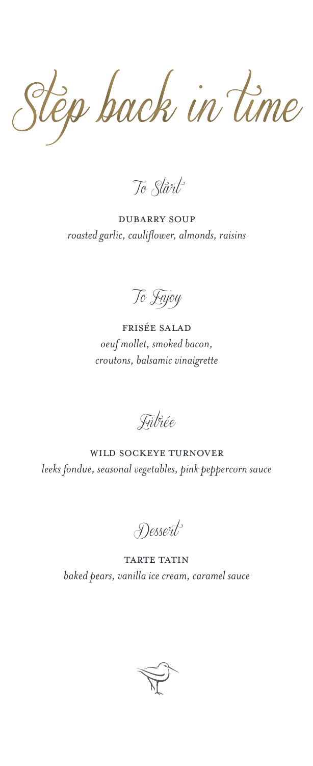Step back in time

*To Start*

dubarry soup *roasted garlic, cauliflower, almonds, raisins*

*To Enjoy*

frisée salad *oeuf mollet, smoked bacon, croutons, balsamic vinaigrette*

*Entrée*

wild sockeye turnover *leeks fondue, seasonal vegetables, pink peppercorn sauce*

*Dessert*

**TARTE TATIN** *baked pears, vanilla ice cream, caramel sauce*